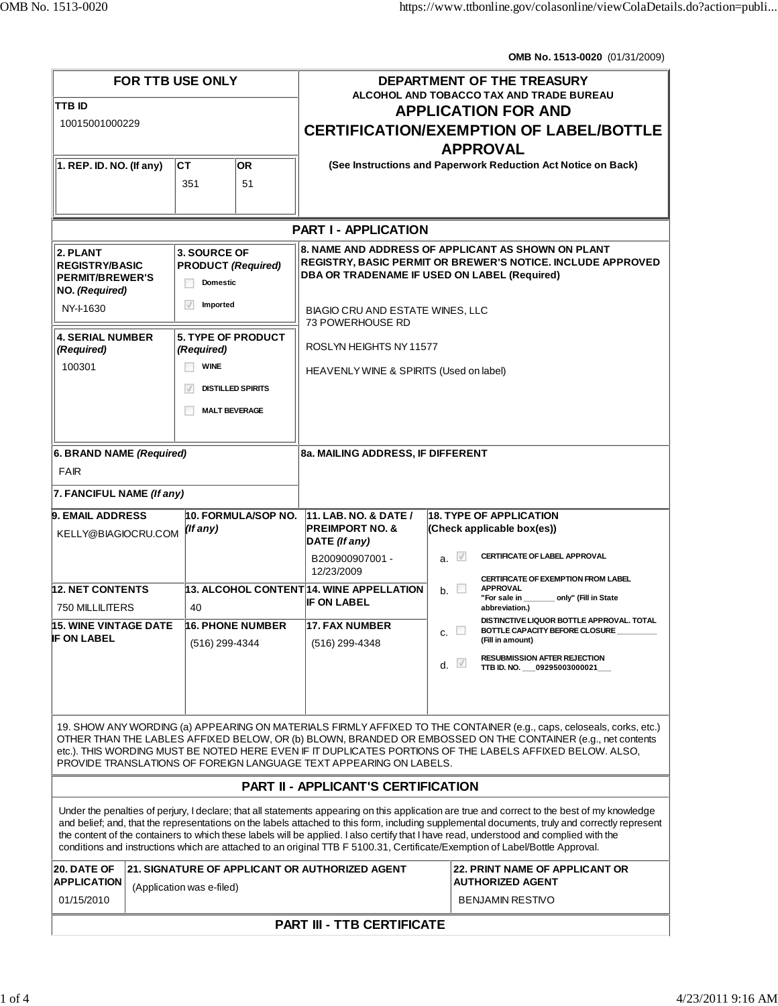**OMB No. 1513-0020** (01/31/2009)

| <b>FOR TTB USE ONLY</b><br>TTB ID<br>10015001000229                           |                                                                                                                            | DEPARTMENT OF THE TREASURY<br><b>ALCOHOL AND TOBACCO TAX AND TRADE BUREAU</b><br><b>APPLICATION FOR AND</b><br><b>CERTIFICATION/EXEMPTION OF LABEL/BOTTLE</b><br><b>APPROVAL</b> |                                                                                                                                                                                                                                                                                                                                                                                                                                                                                                                                                                           |  |  |
|-------------------------------------------------------------------------------|----------------------------------------------------------------------------------------------------------------------------|----------------------------------------------------------------------------------------------------------------------------------------------------------------------------------|---------------------------------------------------------------------------------------------------------------------------------------------------------------------------------------------------------------------------------------------------------------------------------------------------------------------------------------------------------------------------------------------------------------------------------------------------------------------------------------------------------------------------------------------------------------------------|--|--|
| $ 1.$ REP. ID. NO. (If any)                                                   | ICT.<br><b>OR</b><br>51<br>351                                                                                             |                                                                                                                                                                                  | (See Instructions and Paperwork Reduction Act Notice on Back)                                                                                                                                                                                                                                                                                                                                                                                                                                                                                                             |  |  |
| <b>PART I - APPLICATION</b>                                                   |                                                                                                                            |                                                                                                                                                                                  |                                                                                                                                                                                                                                                                                                                                                                                                                                                                                                                                                                           |  |  |
| 2. PLANT<br><b>REGISTRY/BASIC</b><br><b>PERMIT/BREWER'S</b><br>NO. (Required) | 3. SOURCE OF<br><b>PRODUCT (Required)</b><br><b>Domestic</b>                                                               |                                                                                                                                                                                  | 8. NAME AND ADDRESS OF APPLICANT AS SHOWN ON PLANT<br><b>REGISTRY, BASIC PERMIT OR BREWER'S NOTICE. INCLUDE APPROVED</b><br>DBA OR TRADENAME IF USED ON LABEL (Required)                                                                                                                                                                                                                                                                                                                                                                                                  |  |  |
| NY-1-1630                                                                     | $\sqrt{}$<br>Imported                                                                                                      | <b>BIAGIO CRU AND ESTATE WINES, LLC</b><br>73 POWERHOUSE RD                                                                                                                      |                                                                                                                                                                                                                                                                                                                                                                                                                                                                                                                                                                           |  |  |
| <b>4. SERIAL NUMBER</b><br>(Required)<br>100301                               | <b>5. TYPE OF PRODUCT</b><br>(Required)<br><b>WINE</b><br>$\mathcal J$<br><b>DISTILLED SPIRITS</b><br><b>MALT BEVERAGE</b> | ROSLYN HEIGHTS NY 11577<br>HEAVENLY WINE & SPIRITS (Used on label)                                                                                                               |                                                                                                                                                                                                                                                                                                                                                                                                                                                                                                                                                                           |  |  |
| 6. BRAND NAME (Required)<br><b>FAIR</b><br>7. FANCIFUL NAME (If any)          |                                                                                                                            | 8a. MAILING ADDRESS, IF DIFFERENT                                                                                                                                                |                                                                                                                                                                                                                                                                                                                                                                                                                                                                                                                                                                           |  |  |
| <b>9. EMAIL ADDRESS</b><br>KELLY@BIAGIOCRU.COM                                | 10. FORMULA/SOP NO.<br>(If any)                                                                                            | <b>11. LAB. NO. &amp; DATE /</b><br><b>PREIMPORT NO. &amp;</b><br>DATE (If any)                                                                                                  | <b>18. TYPE OF APPLICATION</b><br>(Check applicable box(es))                                                                                                                                                                                                                                                                                                                                                                                                                                                                                                              |  |  |
| <b>h2. NET CONTENTS</b><br>750 MILLILITERS<br>15. WINE VINTAGE DATE           | 40<br><b>h6. PHONE NUMBER</b>                                                                                              | B200900907001-<br>12/23/2009<br>13. ALCOHOL CONTENT 14, WINE APPELLATION<br><b>IF ON LABEL</b><br>17. FAX NUMBER                                                                 | $a.$ $\sqrt{ }$<br>CERTIFICATE OF LABEL APPROVAL<br>CERTIFICATE OF EXEMPTION FROM LABEL<br><b>APPROVAL</b><br>$b_{-}$<br>"For sale in<br>__ only" (Fill in State<br>abbreviation.)<br>DISTINCTIVE LIQUOR BOTTLE APPROVAL. TOTAL<br>BOTTLE CAPACITY BEFORE CLOSURE                                                                                                                                                                                                                                                                                                         |  |  |
| IF ON LABEL                                                                   | (516) 299-4344                                                                                                             | (516) 299-4348                                                                                                                                                                   | c.<br>(Fill in amount)<br><b>RESUBMISSION AFTER REJECTION</b><br>d.<br>TTB ID. NO. 09295003000021                                                                                                                                                                                                                                                                                                                                                                                                                                                                         |  |  |
|                                                                               |                                                                                                                            | PROVIDE TRANSLATIONS OF FOREIGN LANGUAGE TEXT APPEARING ON LABELS.                                                                                                               | 19. SHOW ANY WORDING (a) APPEARING ON MATERIALS FIRMLY AFFIXED TO THE CONTAINER (e.g., caps, celoseals, corks, etc.)<br>OTHER THAN THE LABLES AFFIXED BELOW, OR (b) BLOWN, BRANDED OR EMBOSSED ON THE CONTAINER (e.g., net contents<br>etc.). THIS WORDING MUST BE NOTED HERE EVEN IF IT DUPLICATES PORTIONS OF THE LABELS AFFIXED BELOW. ALSO,                                                                                                                                                                                                                           |  |  |
|                                                                               |                                                                                                                            | <b>PART II - APPLICANT'S CERTIFICATION</b>                                                                                                                                       |                                                                                                                                                                                                                                                                                                                                                                                                                                                                                                                                                                           |  |  |
|                                                                               |                                                                                                                            |                                                                                                                                                                                  | Under the penalties of perjury, I declare; that all statements appearing on this application are true and correct to the best of my knowledge<br>and belief; and, that the representations on the labels attached to this form, including supplemental documents, truly and correctly represent<br>the content of the containers to which these labels will be applied. I also certify that I have read, understood and complied with the<br>conditions and instructions which are attached to an original TTB F 5100.31, Certificate/Exemption of Label/Bottle Approval. |  |  |
| 20. DATE OF<br><b>APPLICATION</b><br>01/15/2010                               | <b>21. SIGNATURE OF APPLICANT OR AUTHORIZED AGENT</b><br>(Application was e-filed)                                         |                                                                                                                                                                                  | <b>22. PRINT NAME OF APPLICANT OR</b><br><b>AUTHORIZED AGENT</b><br><b>BENJAMIN RESTIVO</b>                                                                                                                                                                                                                                                                                                                                                                                                                                                                               |  |  |
| <b>PART III - TTB CERTIFICATE</b>                                             |                                                                                                                            |                                                                                                                                                                                  |                                                                                                                                                                                                                                                                                                                                                                                                                                                                                                                                                                           |  |  |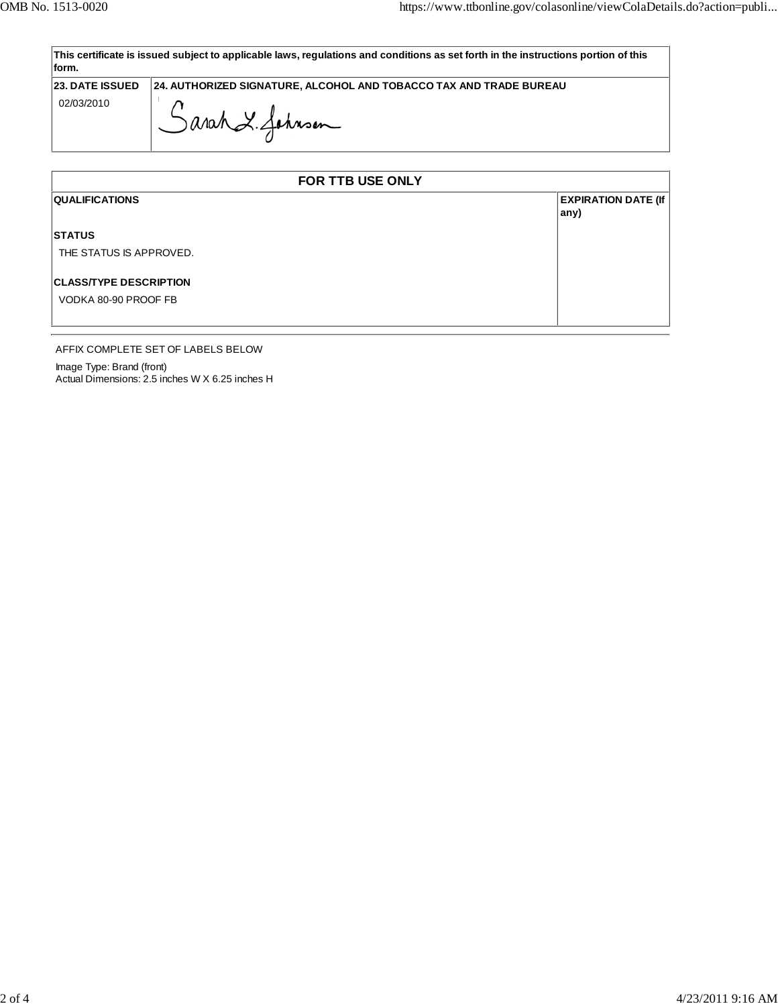| This certificate is issued subject to applicable laws, regulations and conditions as set forth in the instructions portion of this |  |  |  |  |
|------------------------------------------------------------------------------------------------------------------------------------|--|--|--|--|
| ∣form.                                                                                                                             |  |  |  |  |
|                                                                                                                                    |  |  |  |  |

**23. DATE ISSUED 24. AUTHORIZED SIGNATURE, ALCOHOL AND TOBACCO TAX AND TRADE BUREAU**

02/03/2010

Sarah & Johnson

| FOR TTB USE ONLY              |                                    |  |  |
|-------------------------------|------------------------------------|--|--|
| <b>QUALIFICATIONS</b>         | <b>EXPIRATION DATE (If</b><br>any) |  |  |
| <b>STATUS</b>                 |                                    |  |  |
| THE STATUS IS APPROVED.       |                                    |  |  |
| <b>CLASS/TYPE DESCRIPTION</b> |                                    |  |  |
| VODKA 80-90 PROOF FB          |                                    |  |  |
|                               |                                    |  |  |

## AFFIX COMPLETE SET OF LABELS BELOW

Image Type: Brand (front) Actual Dimensions: 2.5 inches W X 6.25 inches H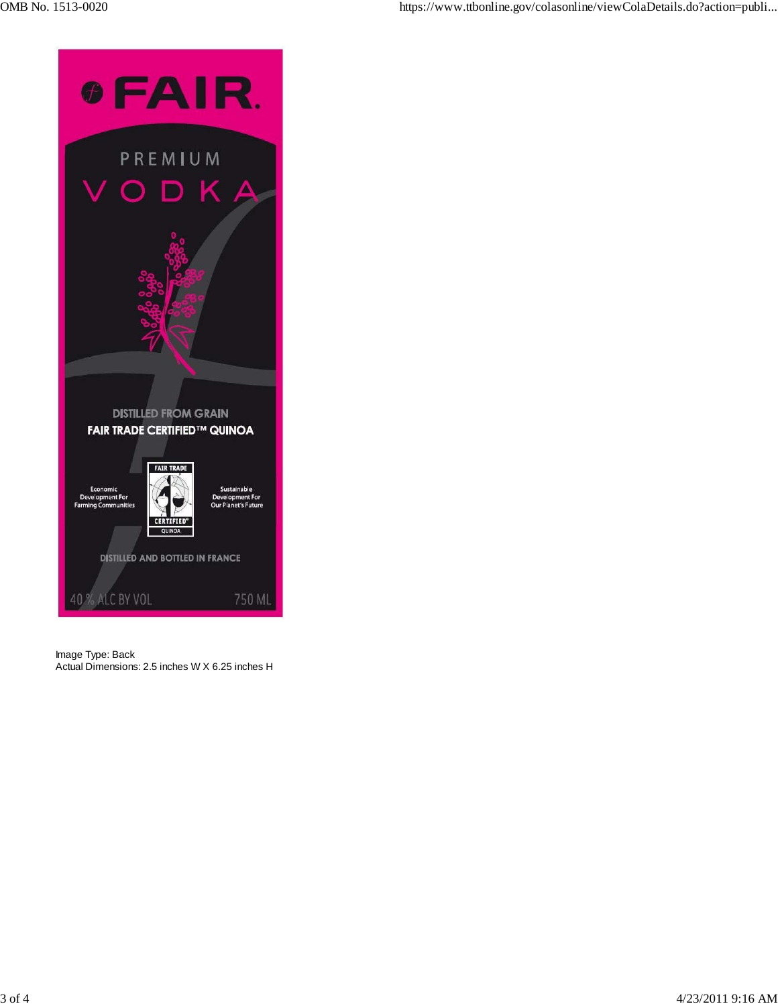



Image Type: Back Actual Dimensions: 2.5 inches W X 6.25 inches H